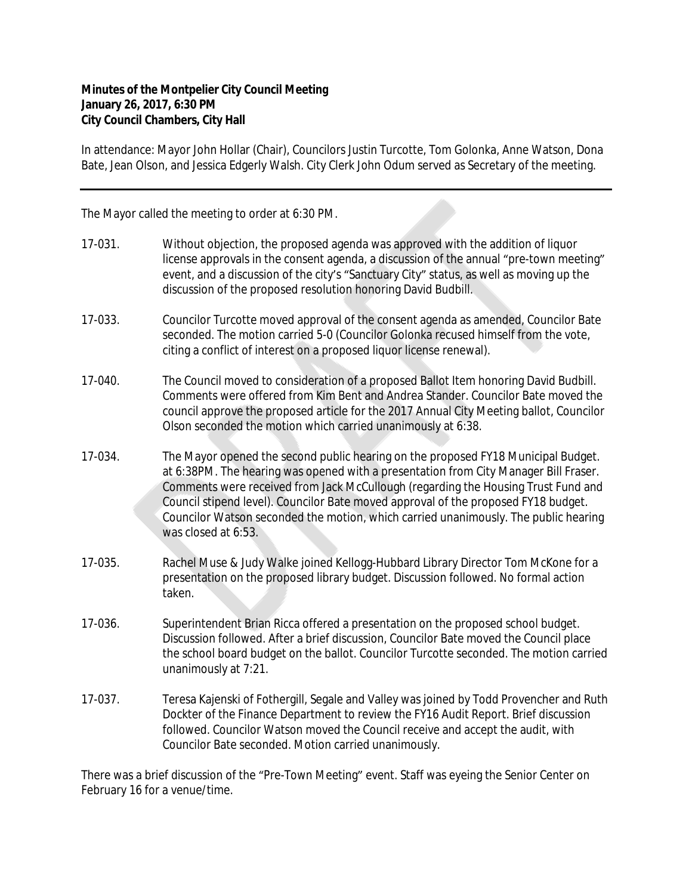## **Minutes of the Montpelier City Council Meeting January 26, 2017, 6:30 PM City Council Chambers, City Hall**

In attendance: Mayor John Hollar (Chair), Councilors Justin Turcotte, Tom Golonka, Anne Watson, Dona Bate, Jean Olson, and Jessica Edgerly Walsh. City Clerk John Odum served as Secretary of the meeting.

The Mayor called the meeting to order at 6:30 PM.

- 17-031. Without objection, the proposed agenda was approved with the addition of liquor license approvals in the consent agenda, a discussion of the annual "pre-town meeting" event, and a discussion of the city's "Sanctuary City" status, as well as moving up the discussion of the proposed resolution honoring David Budbill.
- 17-033. Councilor Turcotte moved approval of the consent agenda as amended, Councilor Bate seconded. The motion carried 5-0 (Councilor Golonka recused himself from the vote, citing a conflict of interest on a proposed liquor license renewal).
- 17-040. The Council moved to consideration of a proposed Ballot Item honoring David Budbill. Comments were offered from Kim Bent and Andrea Stander. Councilor Bate moved the council approve the proposed article for the 2017 Annual City Meeting ballot, Councilor Olson seconded the motion which carried unanimously at 6:38.
- 17-034. The Mayor opened the second public hearing on the proposed FY18 Municipal Budget. at 6:38PM. The hearing was opened with a presentation from City Manager Bill Fraser. Comments were received from Jack McCullough (regarding the Housing Trust Fund and Council stipend level). Councilor Bate moved approval of the proposed FY18 budget. Councilor Watson seconded the motion, which carried unanimously. The public hearing was closed at 6:53.
- 17-035. Rachel Muse & Judy Walke joined Kellogg-Hubbard Library Director Tom McKone for a presentation on the proposed library budget. Discussion followed. No formal action taken.
- 17-036. Superintendent Brian Ricca offered a presentation on the proposed school budget. Discussion followed. After a brief discussion, Councilor Bate moved the Council place the school board budget on the ballot. Councilor Turcotte seconded. The motion carried unanimously at 7:21.
- 17-037. Teresa Kajenski of Fothergill, Segale and Valley was joined by Todd Provencher and Ruth Dockter of the Finance Department to review the FY16 Audit Report. Brief discussion followed. Councilor Watson moved the Council receive and accept the audit, with Councilor Bate seconded. Motion carried unanimously.

There was a brief discussion of the "Pre-Town Meeting" event. Staff was eyeing the Senior Center on February 16 for a venue/time.